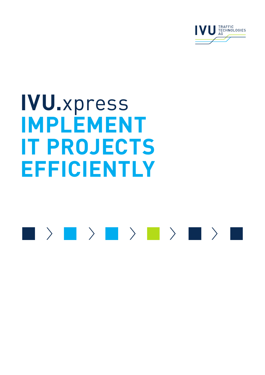

# **IVU.**xpress **IMPLEMENT IT PROJECTS EFFICIENTLY**

##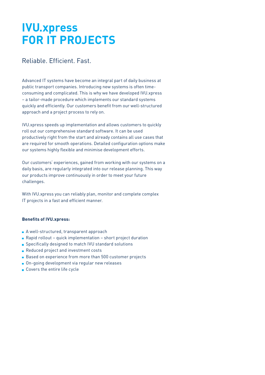### **IVU.xpress FOR IT PROJECTS**

#### Reliable. Efficient. Fast.

Advanced IT systems have become an integral part of daily business at public transport companies. Introducing new systems is often timeconsuming and complicated. This is why we have developed IVU.xpress – a tailor-made procedure which implements our standard systems quickly and efficiently. Our customers benefit from our well-structured approach and a project process to rely on.

IVU.xpress speeds up implementation and allows customers to quickly roll out our comprehensive standard software. It can be used productively right from the start and already contains all use cases that are required for smooth operations. Detailed configuration options make our systems highly flexible and minimise development efforts.

Our customers' experiences, gained from working with our systems on a daily basis, are regularly integrated into our release planning. This way our products improve continuously in order to meet your future challenges.

With IVU.xpress you can reliably plan, monitor and complete complex IT projects in a fast and efficient manner.

#### **Benefits of IVU.xpress:**

- A well-structured, transparent approach
- Rapid rollout quick implementation short project duration
- Specifically designed to match IVU standard solutions
- Reduced project and investment costs
- Based on experience from more than 500 customer projects
- On-going development via regular new releases
- Covers the entire life cycle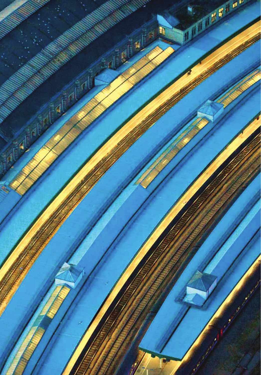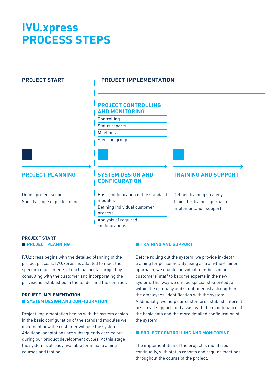## **IVU.xpress ProCESS Steps**

| <b>PROJECT START</b>         | <b>PROJECT IMPLEMENTATION</b>                       |                             |
|------------------------------|-----------------------------------------------------|-----------------------------|
|                              | <b>PROJECT CONTROLLING</b><br><b>AND MONITORING</b> |                             |
|                              | Controlling                                         |                             |
|                              | Status reports                                      |                             |
|                              | Meetings                                            |                             |
|                              | Steering group                                      |                             |
|                              |                                                     |                             |
| <b>PROJECT PLANNING</b>      | <b>SYSTEM DESIGN AND</b><br><b>CONFIGURATION</b>    | <b>TRAINING AND SUPPORT</b> |
| Define project scope         | Basic configuration of the standard<br>modules      | Defined training strategy   |
| Specify scope of performance |                                                     | Train-the-trainer approach  |
|                              | Defining individual customer<br>process             | Implementation support      |
|                              | Analysis of required                                |                             |

configurations

#### **PROJECT START Project Planning**

IVU.xpress begins with the detailed planning of the project process. IVU.xpress is adapted to meet the specific requirements of each particular project by consulting with the customer and incorporating the provisions established in the tender and the contract.

#### **PROJECT IMPLEMENTATION**  $\blacksquare$  **SYSTEM DESIGN AND CONFIGURATION**

Project implementation begins with the system design. In the basic configuration of the standard modules we document how the customer will use the system. Additional adaptations are subsequently carried out during our product development cycles. At this stage the system is already available for initial training courses and testing.

#### **Trai ning and Support**

Before rolling out the system, we provide in-depth training for personnel. By using a "train-the-trainer" approach, we enable individual members of our customers' staff to become experts in the new system. This way we embed specialist knowledge within the company and simultaneously strengthen the employees' identification with the system. Additionally, we help our customers establish internal first-level support, and assist with the maintenance of the basic data and the more detailed configuration of the system.

#### $\blacksquare$  **PROJECT CONTROLLING AND MONITORING**

The implementation of the project is monitored continually, with status reports and regular meetings throughout the course of the project.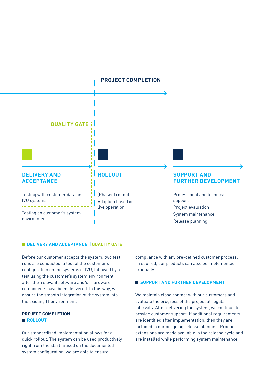

#### $\blacksquare$  **DELIVERY AND ACCEPTANCE | QUALITY GATE**

Before our customer accepts the system, two test runs are conducted: a test of the customer's configuration on the systems of IVU, followed by a test using the customer's system environment after the relevant software and/or hardware components have been delivered. In this way, we ensure the smooth integration of the system into the existing IT environment.

#### **PROJECT COMPLETION Rollout**

Our standardised implementation allows for a quick rollout. The system can be used productively right from the start. Based on the documented system configuration, we are able to ensure

compliance with any pre-defined customer process. If required, our products can also be implemented gradually.

#### **Support and Further Development**

We maintain close contact with our customers and evaluate the progress of the project at regular intervals. After delivering the system, we continue to provide customer support. If additional requirements are identified after implementation, then they are included in our on-going release planning. Product extensions are made available in the release cycle and are installed while performing system maintenance.